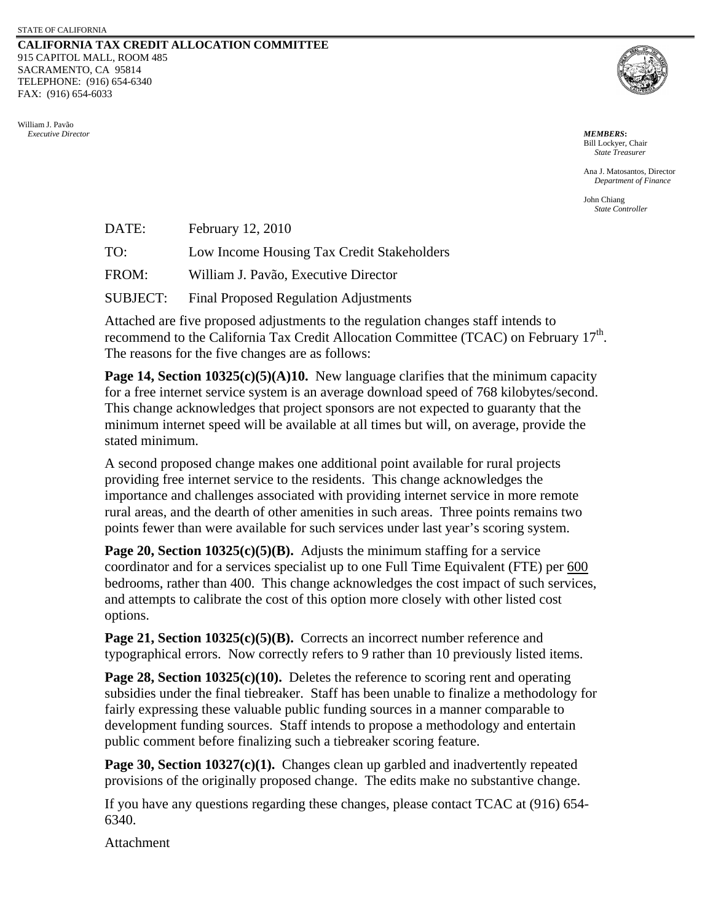#### **CALIFORNIA TAX CREDIT ALLOCATION COMMITTEE** 915 CAPITOL MALL, ROOM 485 SACRAMENTO, CA 95814 TELEPHONE: (916) 654-6340 FAX: (916) 654-6033

William J. Pavão  *Executive Director MEMBERS***:**



Bill Lockyer, Chair *State Treasurer*

Ana J. Matosantos, Director *Department of Finance* 

John Chiang *State Controller*

| DATE:           | February 12, 2010                            |
|-----------------|----------------------------------------------|
| TO:             | Low Income Housing Tax Credit Stakeholders   |
| FROM:           | William J. Pavão, Executive Director         |
| <b>SUBJECT:</b> | <b>Final Proposed Regulation Adjustments</b> |

Attached are five proposed adjustments to the regulation changes staff intends to recommend to the California Tax Credit Allocation Committee (TCAC) on February  $17<sup>th</sup>$ . The reasons for the five changes are as follows:

**Page 14, Section 10325(c)(5)(A)10.** New language clarifies that the minimum capacity for a free internet service system is an average download speed of 768 kilobytes/second. This change acknowledges that project sponsors are not expected to guaranty that the minimum internet speed will be available at all times but will, on average, provide the stated minimum.

A second proposed change makes one additional point available for rural projects providing free internet service to the residents. This change acknowledges the importance and challenges associated with providing internet service in more remote rural areas, and the dearth of other amenities in such areas. Three points remains two points fewer than were available for such services under last year's scoring system.

**Page 20, Section 10325(c)(5)(B).** Adjusts the minimum staffing for a service coordinator and for a services specialist up to one Full Time Equivalent (FTE) per 600 bedrooms, rather than 400. This change acknowledges the cost impact of such services, and attempts to calibrate the cost of this option more closely with other listed cost options.

**Page 21, Section 10325(c)(5)(B).** Corrects an incorrect number reference and typographical errors. Now correctly refers to 9 rather than 10 previously listed items.

**Page 28, Section 10325(c)(10).** Deletes the reference to scoring rent and operating subsidies under the final tiebreaker. Staff has been unable to finalize a methodology for fairly expressing these valuable public funding sources in a manner comparable to development funding sources. Staff intends to propose a methodology and entertain public comment before finalizing such a tiebreaker scoring feature.

**Page 30, Section 10327(c)(1).** Changes clean up garbled and inadvertently repeated provisions of the originally proposed change. The edits make no substantive change.

If you have any questions regarding these changes, please contact TCAC at (916) 654- 6340.

Attachment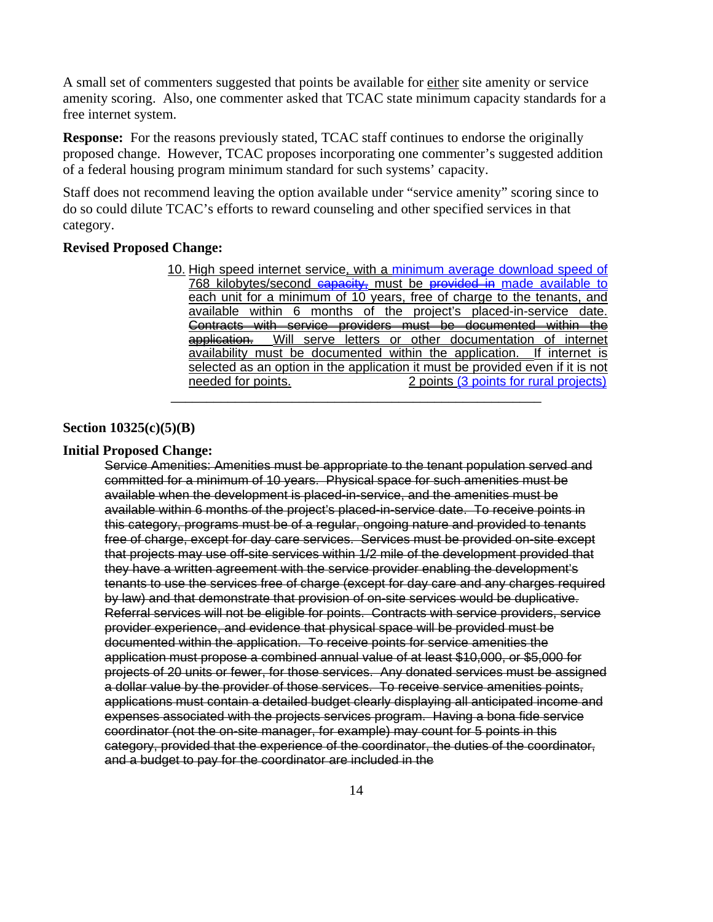A small set of commenters suggested that points be available for either site amenity or service amenity scoring. Also, one commenter asked that TCAC state minimum capacity standards for a free internet system.

**Response:** For the reasons previously stated, TCAC staff continues to endorse the originally proposed change. However, TCAC proposes incorporating one commenter's suggested addition of a federal housing program minimum standard for such systems' capacity.

Staff does not recommend leaving the option available under "service amenity" scoring since to do so could dilute TCAC's efforts to reward counseling and other specified services in that category.

### **Revised Proposed Change:**

10. High speed internet service, with a minimum average download speed of 768 kilobytes/second capacity, must be provided in made available to each unit for a minimum of 10 years, free of charge to the tenants, and available within 6 months of the project's placed-in-service date. Contracts with service providers must be documented within the application. Will serve letters or other documentation of internet Will serve letters or other documentation of internet availability must be documented within the application. If internet is selected as an option in the application it must be provided even if it is not needed for points.<br>2 points (3 points for rural projects) \_\_\_\_\_\_\_\_\_\_\_\_\_\_\_\_\_\_\_\_\_\_\_\_\_\_\_\_\_\_\_\_\_\_\_\_\_\_\_\_\_\_\_\_\_\_\_\_\_\_\_\_

#### **Section 10325(c)(5)(B)**

# **Initial Proposed Change:**

Service Amenities: Amenities must be appropriate to the tenant population served and committed for a minimum of 10 years. Physical space for such amenities must be available when the development is placed-in-service, and the amenities must be available within 6 months of the project's placed-in-service date. To receive points in this category, programs must be of a regular, ongoing nature and provided to tenants free of charge, except for day care services. Services must be provided on-site except that projects may use off-site services within 1/2 mile of the development provided that they have a written agreement with the service provider enabling the development's tenants to use the services free of charge (except for day care and any charges required by law) and that demonstrate that provision of on-site services would be duplicative. Referral services will not be eligible for points. Contracts with service providers, service provider experience, and evidence that physical space will be provided must be documented within the application. To receive points for service amenities the application must propose a combined annual value of at least \$10,000, or \$5,000 for projects of 20 units or fewer, for those services. Any donated services must be assigned a dollar value by the provider of those services. To receive service amenities points, applications must contain a detailed budget clearly displaying all anticipated income and expenses associated with the projects services program. Having a bona fide service coordinator (not the on-site manager, for example) may count for 5 points in this category, provided that the experience of the coordinator, the duties of the coordinator, and a budget to pay for the coordinator are included in the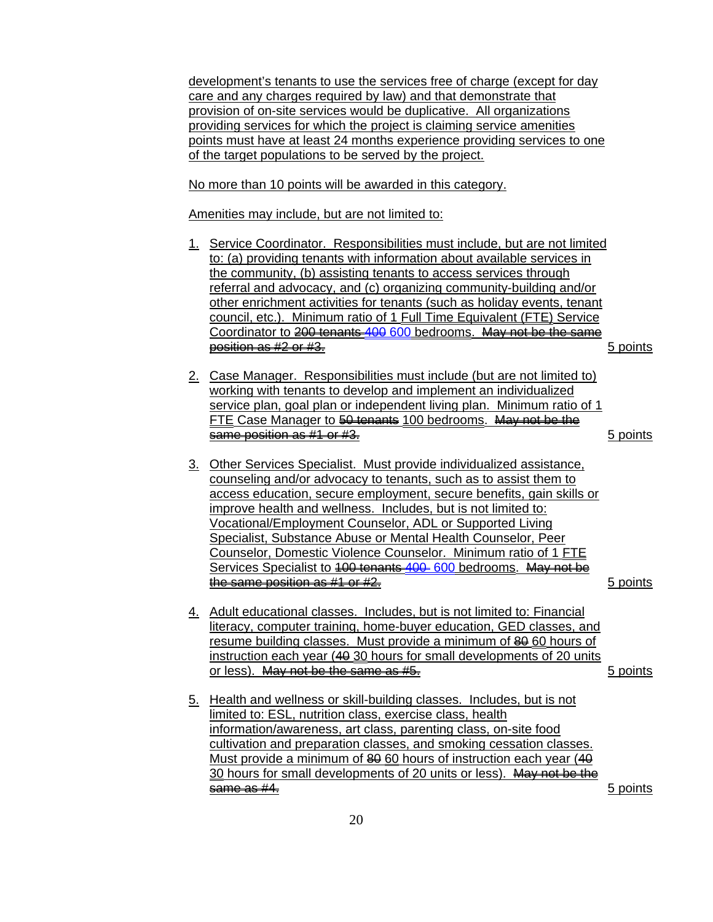development's tenants to use the services free of charge (except for day care and any charges required by law) and that demonstrate that provision of on-site services would be duplicative. All organizations providing services for which the project is claiming service amenities points must have at least 24 months experience providing services to one of the target populations to be served by the project.

No more than 10 points will be awarded in this category.

Amenities may include, but are not limited to:

- 1. Service Coordinator. Responsibilities must include, but are not limited to: (a) providing tenants with information about available services in the community, (b) assisting tenants to access services through referral and advocacy, and (c) organizing community-building and/or other enrichment activities for tenants (such as holiday events, tenant council, etc.). Minimum ratio of 1 Full Time Equivalent (FTE) Service Coordinator to 200 tenants 400 600 bedrooms. May not be the same position as #2 or #3. **Figure 1.** The second second second second second second second second second second second second second second second second second second second second second second second second second second se
- 2. Case Manager. Responsibilities must include (but are not limited to) working with tenants to develop and implement an individualized service plan, goal plan or independent living plan. Minimum ratio of 1 FTE Case Manager to 50 tenants 100 bedrooms. May not be the same position as #1 or #3. 5 points

- 3. Other Services Specialist. Must provide individualized assistance, counseling and/or advocacy to tenants, such as to assist them to access education, secure employment, secure benefits, gain skills or improve health and wellness. Includes, but is not limited to: Vocational/Employment Counselor, ADL or Supported Living Specialist, Substance Abuse or Mental Health Counselor, Peer Counselor, Domestic Violence Counselor. Minimum ratio of 1 FTE Services Specialist to 400 tenants 400 600 bedrooms. May not be the same position as  $#4$  or  $#2.$   $\hfill$   $\hfill$   $\hfill$   $\hfill$   $\hfill$   $\hfill$   $\hfill$   $\hfill$   $\hfill$   $\hfill$   $\hfill$   $\hfill$   $\hfill$   $\hfill$   $\hfill$   $\hfill$   $\hfill$   $\hfill$   $\hfill$   $\hfill$   $\hfill$   $\hfill$   $\hfill$   $\hfill$   $\hfill$   $\hfill$   $\hfill$   $\hfill$   $\hfill$   $\hfill$   $\hfill$
- 4. Adult educational classes. Includes, but is not limited to: Financial literacy, computer training, home-buyer education, GED classes, and resume building classes. Must provide a minimum of  $\frac{20}{20}$  60 hours of instruction each year (40 30 hours for small developments of 20 units or less). May not be the same as #5. 5 points
- 5. Health and wellness or skill-building classes. Includes, but is not limited to: ESL, nutrition class, exercise class, health information/awareness, art class, parenting class, on-site food cultivation and preparation classes, and smoking cessation classes. Must provide a minimum of  $80$  60 hours of instruction each year (40 30 hours for small developments of 20 units or less). May not be the same as #4. 5 points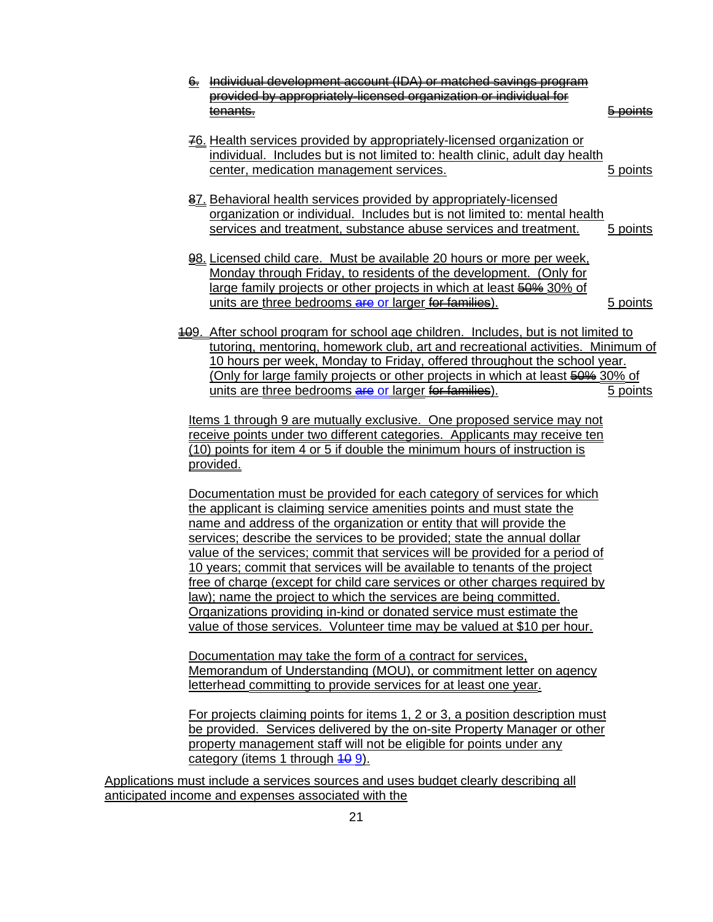| 6. Individual devolopment account (IDA) or matched savings program                                                                                                                                                                                                                                                                                                                                                                                                                                                                                                                                                                                                                                                                                                                                                                                  |                   |  |
|-----------------------------------------------------------------------------------------------------------------------------------------------------------------------------------------------------------------------------------------------------------------------------------------------------------------------------------------------------------------------------------------------------------------------------------------------------------------------------------------------------------------------------------------------------------------------------------------------------------------------------------------------------------------------------------------------------------------------------------------------------------------------------------------------------------------------------------------------------|-------------------|--|
| provided by appropriately-licensed organization or individual for                                                                                                                                                                                                                                                                                                                                                                                                                                                                                                                                                                                                                                                                                                                                                                                   |                   |  |
| tenants.                                                                                                                                                                                                                                                                                                                                                                                                                                                                                                                                                                                                                                                                                                                                                                                                                                            | <del>DOINIS</del> |  |
| 76. Health services provided by appropriately-licensed organization or<br>individual. Includes but is not limited to: health clinic, adult day health<br>center, medication management services.                                                                                                                                                                                                                                                                                                                                                                                                                                                                                                                                                                                                                                                    | 5 points          |  |
| 87. Behavioral health services provided by appropriately-licensed<br>organization or individual. Includes but is not limited to: mental health<br>services and treatment, substance abuse services and treatment.                                                                                                                                                                                                                                                                                                                                                                                                                                                                                                                                                                                                                                   | 5 points          |  |
| 98. Licensed child care. Must be available 20 hours or more per week,<br>Monday through Friday, to residents of the development. (Only for<br>large family projects or other projects in which at least 50% 30% of<br>units are three bedrooms are or larger for families).                                                                                                                                                                                                                                                                                                                                                                                                                                                                                                                                                                         | 5 points          |  |
| 409. After school program for school age children. Includes, but is not limited to<br>tutoring, mentoring, homework club, art and recreational activities. Minimum of<br>10 hours per week, Monday to Friday, offered throughout the school year.<br>(Only for large family projects or other projects in which at least 50% 30% of<br>units are three bedrooms are or larger for families).<br>Items 1 through 9 are mutually exclusive. One proposed service may not<br>receive points under two different categories. Applicants may receive ten<br>(10) points for item 4 or 5 if double the minimum hours of instruction is                                                                                                                                                                                                                    | 5 points          |  |
| provided.<br>Documentation must be provided for each category of services for which<br>the applicant is claiming service amenities points and must state the<br>name and address of the organization or entity that will provide the<br>services; describe the services to be provided; state the annual dollar<br>value of the services; commit that services will be provided for a period of<br>10 years; commit that services will be available to tenants of the project<br>free of charge (except for child care services or other charges required by<br>law); name the project to which the services are being committed.<br>Organizations providing in-kind or donated service must estimate the<br>value of those services. Volunteer time may be valued at \$10 per hour.<br>Documentation may take the form of a contract for services, |                   |  |

Memorandum of Understanding (MOU), or commitment letter on agency letterhead committing to provide services for at least one year.

For projects claiming points for items 1, 2 or 3, a position description must be provided. Services delivered by the on-site Property Manager or other property management staff will not be eligible for points under any category (items 1 through  $\frac{40}{9}$ ).

Applications must include a services sources and uses budget clearly describing all anticipated income and expenses associated with the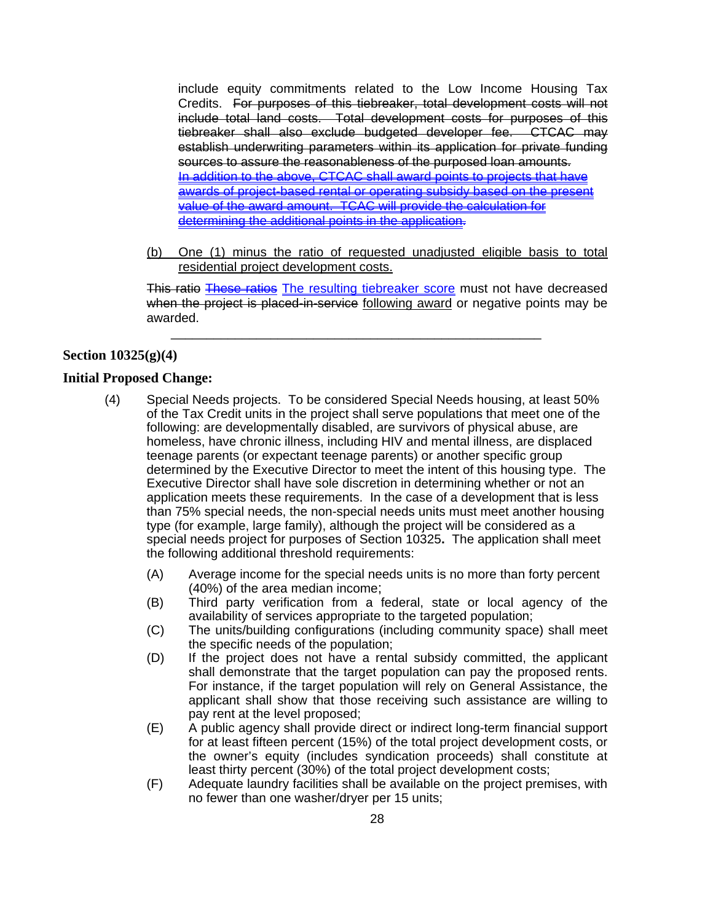include equity commitments related to the Low Income Housing Tax Credits. For purposes of this tiebreaker, total development costs will not include total land costs. Total development costs for purposes of this tiebreaker shall also exclude budgeted developer fee. CTCAC may establish underwriting parameters within its application for private funding sources to assure the reasonableness of the purposed loan amounts. In addition to the above, CTCAC shall award points to projects that have awards of project-based rental or operating subsidy based on the present value of the award amount. TCAC will provide the calculation for determining the additional points in the application.

(b) One (1) minus the ratio of requested unadjusted eligible basis to total residential project development costs.

This ratio These ratios The resulting tiebreaker score must not have decreased when the project is placed-in-service following award or negative points may be awarded.

\_\_\_\_\_\_\_\_\_\_\_\_\_\_\_\_\_\_\_\_\_\_\_\_\_\_\_\_\_\_\_\_\_\_\_\_\_\_\_\_\_\_\_\_\_\_\_\_\_\_\_\_

## **Section 10325(g)(4)**

#### **Initial Proposed Change:**

- (4) Special Needs projects. To be considered Special Needs housing, at least 50% of the Tax Credit units in the project shall serve populations that meet one of the following: are developmentally disabled, are survivors of physical abuse, are homeless, have chronic illness, including HIV and mental illness, are displaced teenage parents (or expectant teenage parents) or another specific group determined by the Executive Director to meet the intent of this housing type. The Executive Director shall have sole discretion in determining whether or not an application meets these requirements. In the case of a development that is less than 75% special needs, the non-special needs units must meet another housing type (for example, large family), although the project will be considered as a special needs project for purposes of Section 10325**.** The application shall meet the following additional threshold requirements:
	- (A) Average income for the special needs units is no more than forty percent (40%) of the area median income;
	- (B) Third party verification from a federal, state or local agency of the availability of services appropriate to the targeted population;
	- (C) The units/building configurations (including community space) shall meet the specific needs of the population;
	- (D) If the project does not have a rental subsidy committed, the applicant shall demonstrate that the target population can pay the proposed rents. For instance, if the target population will rely on General Assistance, the applicant shall show that those receiving such assistance are willing to pay rent at the level proposed;
	- (E) A public agency shall provide direct or indirect long-term financial support for at least fifteen percent (15%) of the total project development costs, or the owner's equity (includes syndication proceeds) shall constitute at least thirty percent (30%) of the total project development costs;
	- (F) Adequate laundry facilities shall be available on the project premises, with no fewer than one washer/dryer per 15 units;